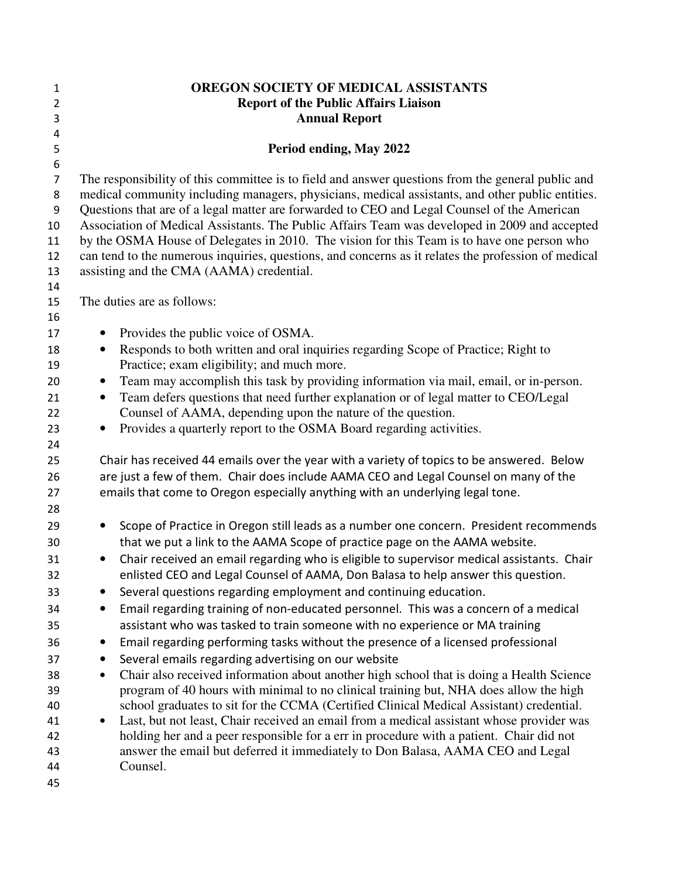| 1<br>$\overline{2}$<br>3                                                                                 | OREGON SOCIETY OF MEDICAL ASSISTANTS<br><b>Report of the Public Affairs Liaison</b><br><b>Annual Report</b>                                                                                                                                                                                                                                                                                                                                                                                                                                                                                                                                                                                                                                                                                                                                                                                                                                                                                                                                                                                                                                                                                                                                                                                                                                                                               |
|----------------------------------------------------------------------------------------------------------|-------------------------------------------------------------------------------------------------------------------------------------------------------------------------------------------------------------------------------------------------------------------------------------------------------------------------------------------------------------------------------------------------------------------------------------------------------------------------------------------------------------------------------------------------------------------------------------------------------------------------------------------------------------------------------------------------------------------------------------------------------------------------------------------------------------------------------------------------------------------------------------------------------------------------------------------------------------------------------------------------------------------------------------------------------------------------------------------------------------------------------------------------------------------------------------------------------------------------------------------------------------------------------------------------------------------------------------------------------------------------------------------|
| $\overline{4}$<br>5                                                                                      | Period ending, May 2022                                                                                                                                                                                                                                                                                                                                                                                                                                                                                                                                                                                                                                                                                                                                                                                                                                                                                                                                                                                                                                                                                                                                                                                                                                                                                                                                                                   |
| $\boldsymbol{6}$<br>$\overline{7}$<br>8<br>$\boldsymbol{9}$<br>10<br>11<br>12<br>13<br>14                | The responsibility of this committee is to field and answer questions from the general public and<br>medical community including managers, physicians, medical assistants, and other public entities.<br>Questions that are of a legal matter are forwarded to CEO and Legal Counsel of the American<br>Association of Medical Assistants. The Public Affairs Team was developed in 2009 and accepted<br>by the OSMA House of Delegates in 2010. The vision for this Team is to have one person who<br>can tend to the numerous inquiries, questions, and concerns as it relates the profession of medical<br>assisting and the CMA (AAMA) credential.                                                                                                                                                                                                                                                                                                                                                                                                                                                                                                                                                                                                                                                                                                                                    |
| 15                                                                                                       | The duties are as follows:                                                                                                                                                                                                                                                                                                                                                                                                                                                                                                                                                                                                                                                                                                                                                                                                                                                                                                                                                                                                                                                                                                                                                                                                                                                                                                                                                                |
| 16<br>17<br>18<br>19<br>20<br>21<br>22<br>23<br>24<br>25<br>26<br>27                                     | Provides the public voice of OSMA.<br>$\bullet$<br>Responds to both written and oral inquiries regarding Scope of Practice; Right to<br>$\bullet$<br>Practice; exam eligibility; and much more.<br>Team may accomplish this task by providing information via mail, email, or in-person.<br>$\bullet$<br>Team defers questions that need further explanation or of legal matter to CEO/Legal<br>$\bullet$<br>Counsel of AAMA, depending upon the nature of the question.<br>Provides a quarterly report to the OSMA Board regarding activities.<br>$\bullet$<br>Chair has received 44 emails over the year with a variety of topics to be answered. Below<br>are just a few of them. Chair does include AAMA CEO and Legal Counsel on many of the<br>emails that come to Oregon especially anything with an underlying legal tone.                                                                                                                                                                                                                                                                                                                                                                                                                                                                                                                                                        |
| 28<br>29<br>30<br>31<br>32<br>33<br>34<br>35<br>36<br>37<br>38<br>39<br>40<br>41<br>42<br>43<br>44<br>45 | Scope of Practice in Oregon still leads as a number one concern. President recommends<br>٠<br>that we put a link to the AAMA Scope of practice page on the AAMA website.<br>Chair received an email regarding who is eligible to supervisor medical assistants. Chair<br>$\bullet$<br>enlisted CEO and Legal Counsel of AAMA, Don Balasa to help answer this question.<br>Several questions regarding employment and continuing education.<br>Email regarding training of non-educated personnel. This was a concern of a medical<br>$\bullet$<br>assistant who was tasked to train someone with no experience or MA training<br>Email regarding performing tasks without the presence of a licensed professional<br>$\bullet$<br>Several emails regarding advertising on our website<br>٠<br>Chair also received information about another high school that is doing a Health Science<br>$\bullet$<br>program of 40 hours with minimal to no clinical training but, NHA does allow the high<br>school graduates to sit for the CCMA (Certified Clinical Medical Assistant) credential.<br>Last, but not least, Chair received an email from a medical assistant whose provider was<br>$\bullet$<br>holding her and a peer responsible for a err in procedure with a patient. Chair did not<br>answer the email but deferred it immediately to Don Balasa, AAMA CEO and Legal<br>Counsel. |